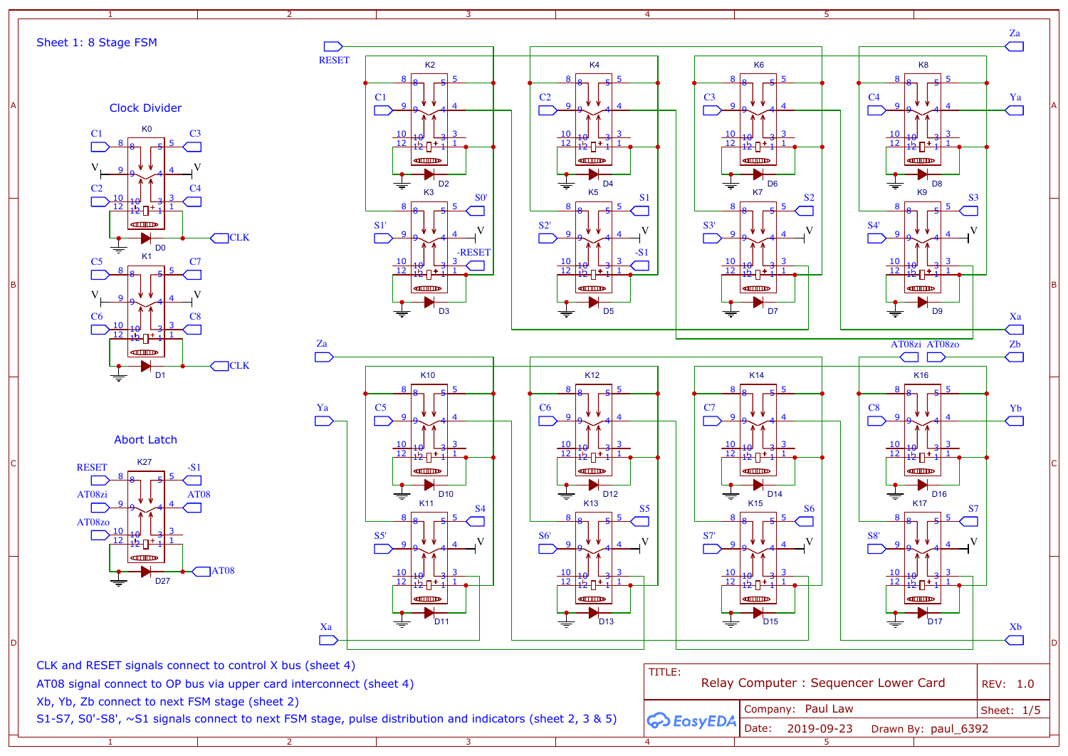1

1

2

2

3

4

4

 $4^{4}$ <u>10 | 10 | 13 | 3</u><br>12 | 12 | 12 | 1  $\frac{1}{1}$ D14 K15 <sup>8</sup> <sup>8</sup> <sup>5</sup> <sup>5</sup> و| 9  $4^{4}$ <u>10 | 10 | 13 3</u><br>12 | 12 | 12 1 | 1  $\frac{1}{1}$  $\blacksquare$  $\overline{D}$ 15 ≑



K6

8 8 5 5 5

 $4^{4}$ 

 $\frac{1}{1}$ 

K7

8 8 5 5 5

<u>10 | 10 | 13 3</u><br>12 | 12 | 12 | 1

D6

 $4^{4}$ 

 $\frac{1}{1}$ 

D<sub>7</sub>

<u>10 | 10 | 13 | 3</u><br>12 | 12 | 12 | 1

**dillion** 

K0 Clock Divider

| CLK and RESET signals connect to control X bus (sheet 4)                                                                                                          | TITLE:                                    |              |
|-------------------------------------------------------------------------------------------------------------------------------------------------------------------|-------------------------------------------|--------------|
| AT08 signal connect to OP bus via upper card interconnect (sheet 4)                                                                                               | Relay Computer: Se                        |              |
| Xb, Yb, Zb connect to next FSM stage (sheet 2)<br>S1-S7, S0'-S8', $\sim$ S1 signals connect to next FSM stage, pulse distribution and indicators (sheet 2, 3 & 5) |                                           | Company: Pau |
|                                                                                                                                                                   | $\sim$ J) $\bigotimes$ EasyEDA Date: 2019 |              |

K14

8 8 5 5 5 <mark>5</mark>

 $\alpha$ 

و| 9

 $\overline{9}$ 





Sheet 1: 8 Stage FSM

Abort Latch



<u>3</u>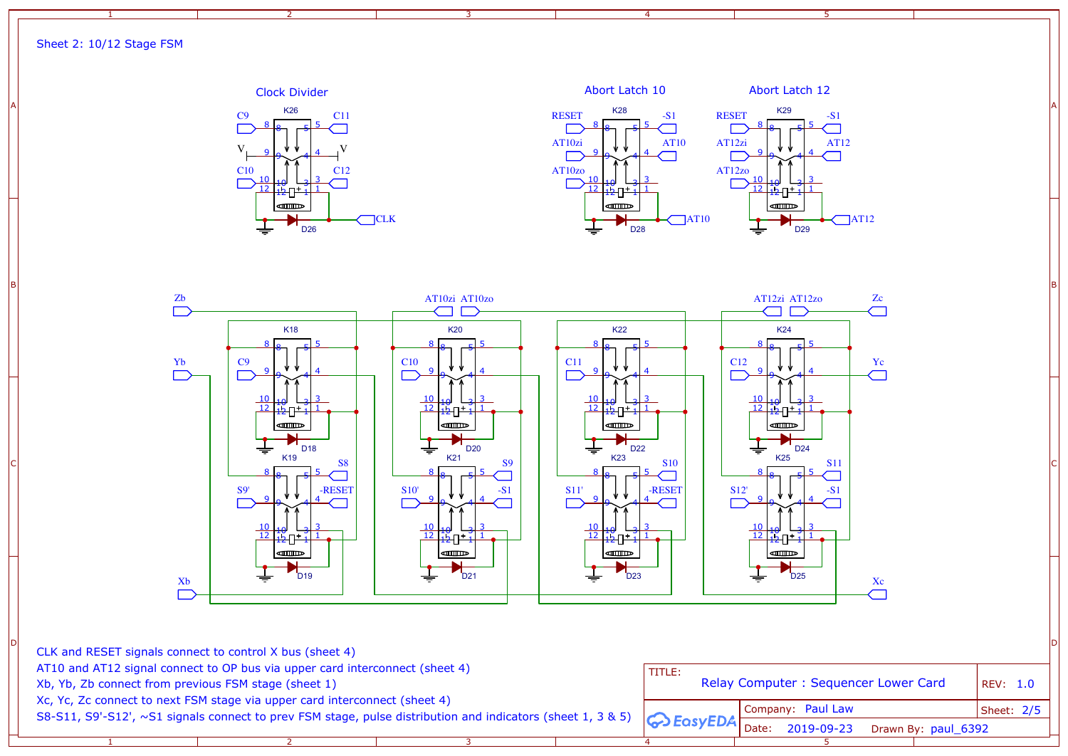1

2

3

4

5







S8-S11, S9'-S12', ~S1 signals connect to prev FSM stage, pulse distribution and indicators (sheet 1, 3 & 5) Xc, Yc, Zc connect to next FSM stage via upper card interconnect (sheet 4) AT10 and AT12 signal connect to OP bus via upper card interconnect (sheet 4) CLK and RESET signals connect to control X bus (sheet 4) Xb, Yb, Zb connect from previous FSM stage (sheet 1)

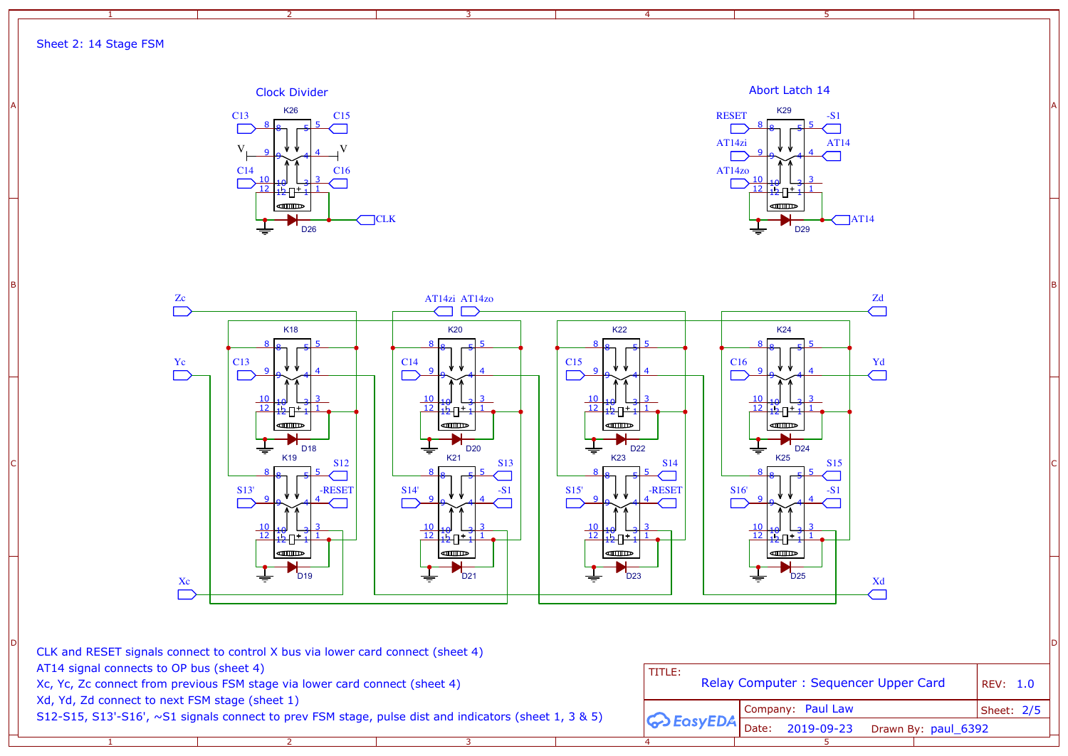1

2

3

4

5



Clock Divider **Abort Latch 14** K26 C15 C13 8 8 5 5 5  $V_{\perp}$  9  $\sqrt{V_{\perp}$  4  $\sqrt{V}$ و| 9  $4^{4}$ C14 C16 <u>10 | 19 | 13 | 3</u><br><mark>12 | 1</mark>2 | 12 | 1  $\Box$  $rac{1}{1}$ **diffusive CLK** D26

|                                                                                                                         | CLK and RESET signals connect to control X bus via lower card connect (sheet 4)                                                                               |                                                |                                                        |            |
|-------------------------------------------------------------------------------------------------------------------------|---------------------------------------------------------------------------------------------------------------------------------------------------------------|------------------------------------------------|--------------------------------------------------------|------------|
| AT14 signal connects to OP bus (sheet 4)<br>Xc, Yc, Zc connect from previous FSM stage via lower card connect (sheet 4) |                                                                                                                                                               | TITLE:<br>Relay Computer: Sequencer Upper Card |                                                        | REV: 1.0   |
|                                                                                                                         | Xd, Yd, Zd connect to next FSM stage (sheet 1)<br>S12-S15, S13'-S16', $\sim$ S1 signals connect to prev FSM stage, pulse dist and indicators (sheet 1, 3 & 5) | <b>GO</b> EasyEDA                              | Company: Paul Law<br>Drawn By: paul_6392<br>2019-09-23 | Sheet: 2/5 |



Sheet 2: 14 Stage FSM